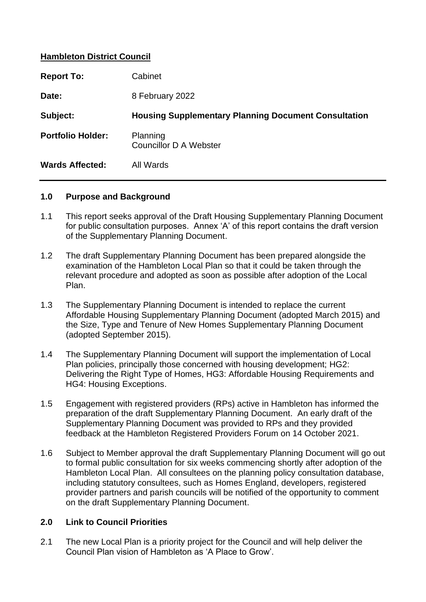### **Hambleton District Council**

| <b>Report To:</b>        | Cabinet                                                     |  |
|--------------------------|-------------------------------------------------------------|--|
| Date:                    | 8 February 2022                                             |  |
| Subject:                 | <b>Housing Supplementary Planning Document Consultation</b> |  |
| <b>Portfolio Holder:</b> | Planning<br><b>Councillor D A Webster</b>                   |  |
| <b>Wards Affected:</b>   | All Wards                                                   |  |

#### **1.0 Purpose and Background**

- 1.1 This report seeks approval of the Draft Housing Supplementary Planning Document for public consultation purposes. Annex 'A' of this report contains the draft version of the Supplementary Planning Document.
- 1.2 The draft Supplementary Planning Document has been prepared alongside the examination of the Hambleton Local Plan so that it could be taken through the relevant procedure and adopted as soon as possible after adoption of the Local Plan.
- 1.3 The Supplementary Planning Document is intended to replace the current Affordable Housing Supplementary Planning Document (adopted March 2015) and the Size, Type and Tenure of New Homes Supplementary Planning Document (adopted September 2015).
- 1.4 The Supplementary Planning Document will support the implementation of Local Plan policies, principally those concerned with housing development; HG2: Delivering the Right Type of Homes, HG3: Affordable Housing Requirements and HG4: Housing Exceptions.
- 1.5 Engagement with registered providers (RPs) active in Hambleton has informed the preparation of the draft Supplementary Planning Document. An early draft of the Supplementary Planning Document was provided to RPs and they provided feedback at the Hambleton Registered Providers Forum on 14 October 2021.
- 1.6 Subject to Member approval the draft Supplementary Planning Document will go out to formal public consultation for six weeks commencing shortly after adoption of the Hambleton Local Plan. All consultees on the planning policy consultation database, including statutory consultees, such as Homes England, developers, registered provider partners and parish councils will be notified of the opportunity to comment on the draft Supplementary Planning Document.

#### **2.0 Link to Council Priorities**

2.1 The new Local Plan is a priority project for the Council and will help deliver the Council Plan vision of Hambleton as 'A Place to Grow'.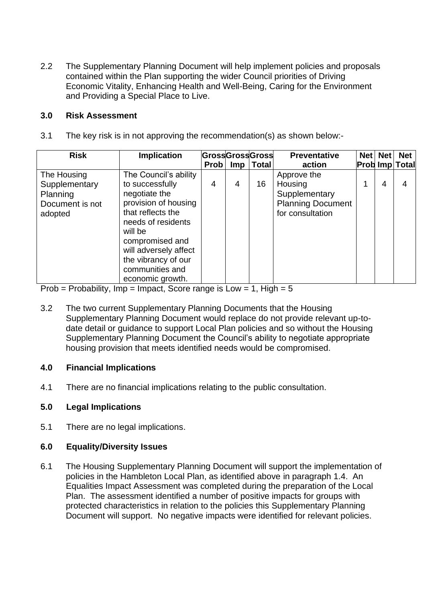2.2 The Supplementary Planning Document will help implement policies and proposals contained within the Plan supporting the wider Council priorities of Driving Economic Vitality, Enhancing Health and Well-Being, Caring for the Environment and Providing a Special Place to Live.

### **3.0 Risk Assessment**

3.1 The key risk is in not approving the recommendation(s) as shown below:-

| <b>Risk</b>                                                            | <b>Implication</b>                                                                                                                                                                                                                                |      |            | <b>GrossGrossGross</b> | <b>Preventative</b>                                                                     | Net Net | <b>Net</b>            |
|------------------------------------------------------------------------|---------------------------------------------------------------------------------------------------------------------------------------------------------------------------------------------------------------------------------------------------|------|------------|------------------------|-----------------------------------------------------------------------------------------|---------|-----------------------|
|                                                                        |                                                                                                                                                                                                                                                   | Prob | <b>Imp</b> | <b>Total</b>           | action                                                                                  |         | <b>Prob Imp Total</b> |
| The Housing<br>Supplementary<br>Planning<br>Document is not<br>adopted | The Council's ability<br>to successfully<br>negotiate the<br>provision of housing<br>that reflects the<br>needs of residents<br>will be<br>compromised and<br>will adversely affect<br>the vibrancy of our<br>communities and<br>economic growth. | 4    | 4          | 16                     | Approve the<br>Housing<br>Supplementary<br><b>Planning Document</b><br>for consultation | 4       | 4                     |

Prob = Probability, Imp = Impact, Score range is  $Low = 1$ , High = 5

3.2 The two current Supplementary Planning Documents that the Housing Supplementary Planning Document would replace do not provide relevant up-todate detail or guidance to support Local Plan policies and so without the Housing Supplementary Planning Document the Council's ability to negotiate appropriate housing provision that meets identified needs would be compromised.

# **4.0 Financial Implications**

4.1 There are no financial implications relating to the public consultation.

# **5.0 Legal Implications**

5.1 There are no legal implications.

# **6.0 Equality/Diversity Issues**

6.1 The Housing Supplementary Planning Document will support the implementation of policies in the Hambleton Local Plan, as identified above in paragraph 1.4. An Equalities Impact Assessment was completed during the preparation of the Local Plan. The assessment identified a number of positive impacts for groups with protected characteristics in relation to the policies this Supplementary Planning Document will support. No negative impacts were identified for relevant policies.